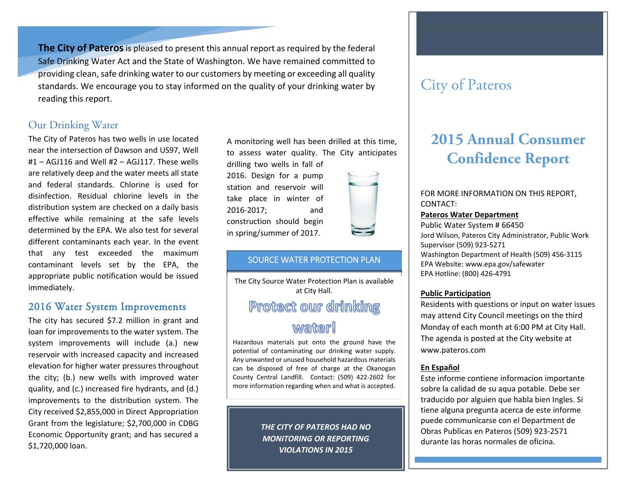**The City of Pateros** is pleased to present this annual report as required by the federal Safe Drinking Water Act and the State of Washington. We have remained committed to providing clean, safe drinking water to our customers by meeting or exceeding all quality standards. We encourage you to stay informed on the quality of your drinking water by reading this report.

### Our Drinking Water

The City of Pateros has two wells in use located near the intersection of Dawson and US97, Well #1 – AGJ116 and Well #2 – AGJ117. These wells are relatively deep and the water meets all state and federal standards. Chlorine is used for disinfection. Residual chlorine levels in the distribution system are checked on a daily basis effective while remaining at the safe levels determined by the EPA. We also test for several different contaminants each year. In the event that any test exceeded the maximum contaminant levels set by the EPA, the appropriate public notification would be issued immediately.

#### 2016 Water System Improvements

The city has secured \$7.2 million in grant and loan for improvements to the water system. The system improvements will include (a.) new reservoir with increased capacity and increased elevation for higher water pressures throughout the city; (b.) new wells with improved water quality, and (c.) increased fire hydrants, and (d.) improvements to the distribution system. The City received \$2,855,000 in Direct Appropriation Grant from the legislature; \$2,700,000 in CDBG Economic Opportunity grant; and has secured a \$1,720,000 loan.

A monitoring well has been drilled at this time, to assess water quality. The City anticipates

drilling two wells in fall of 2016. Design for <sup>a</sup> pump station and reservoir will take place in winter of 2016‐2017; and construction should begin in spring/summer of 2017.

#### SOURCE WATER PROTECTION PLAN

The City Source Water Protection Plan is available at City Hall. Protect our drinking

# *<u>wafter!</u>*

Hazardous materials put onto the ground have the potential of contaminating our drinking water supply. Any unwanted or unused household hazardous materials can be disposed of free of charge at the Okanogan County Central Landfill. Contact: (509) 422‐2602 for more information regarding when and what is accepted.

> *THE CITY OF PATEROS HAD NO MONITORING OR REPORTING VIOLATIONS IN 2015*

# City of Pateros

# **2015 Annual Consumer Confidence Report**

FOR MORE INFORMATION ON THIS REPORT, CONTACT:

#### **Pateros Water Department**

Public Water System # 66450 Jord Wilson, Pateros City Administrator, Public Work Supervisor (509) 923‐5271 Washington Department of Health (509) 456‐3115 EPA Website: www.epa.gov/safewater EPA Hotline: (800) 426‐4791

#### **Public Participation**

Residents with questions or input on water issues may attend City Council meetings on the third Monday of each month at 6:00 PM at City Hall. The agenda is posted at the City website at www.pateros.com

#### **En Español**

Este informe contiene informacion importante sobre la calidad de su aqua potable. Debe ser traducido por alguien que habla bien Ingles. Si tiene alguna pregunta acerca de este informe puede communicarse con el Department de Obras Publicas en Pateros (509) 923‐2571 durante las horas normales de oficina.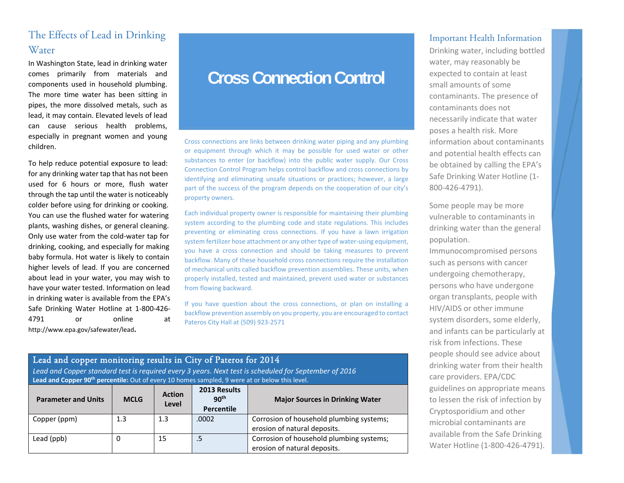# The Effects of Lead in Drinking Water

In Washington State, lead in drinking water comes primarily from materials and components used in household plumbing. The more time water has been sitting in pipes, the more dissolved metals, such as lead, it may contain. Elevated levels of lead can cause serious health problems, especially in pregnant women and young children.

To help reduce potential exposure to lead: for any drinking water tap that has not been used for 6 hours or more, flush water through the tap until the water is noticeably colder before using for drinking or cooking. You can use the flushed water for watering plants, washing dishes, or general cleaning. Only use water from the cold‐water tap for drinking, cooking, and especially for making baby formula. Hot water is likely to contain higher levels of lead. If you are concerned about lead in your water, you may wish to have your water tested. Information on lead in drinking water is available from the EPA's Safe Drinking Water Hotline at 1‐800‐426‐ 4791 or online at http://www.epa.gov/safewater/lead**.**

# **Cross Connection Control**

Cross connections are links between drinking water piping and any plumbing or equipment through which it may be possible for used water or other substances to enter (or backflow) into the public water supply. Our Cross Connection Control Program helps control backflow and cross connections by identifying and eliminating unsafe situations or practices; however, a large part of the success of the program depends on the cooperation of our city's property owners.

Each individual property owner is responsible for maintaining their plumbing system according to the plumbing code and state regulations. This includes preventing or eliminating cross connections. If you have <sup>a</sup> lawn irrigation system fertilizer hose attachment or any other type of water‐using equipment, you have <sup>a</sup> cross connection and should be taking measures to prevent backflow. Many of these household cross connections require the installation of mechanical units called backflow prevention assemblies. These units, when properly installed, tested and maintained, prevent used water or substances from flowing backward.

If you have question about the cross connections, or plan on installing a backflow prevention assembly on you property, you are encouraged to contact Pateros City Hall at (509) 923‐2571

#### Lead and copper monitoring results in City of Pateros for 2014

*Lead and Copper standard test is required every 3 years. Next test is scheduled for September of 2016*  **Lead and Copper 90th percentile:** Out of every 10 homes sampled, 9 were at or below this level.

| <b>Parameter and Units</b> | <b>MCLG</b> | <b>Action</b><br>Level | 2013 Results<br>90 <sup>th</sup><br><b>Percentile</b> | <b>Major Sources in Drinking Water</b>                                   |
|----------------------------|-------------|------------------------|-------------------------------------------------------|--------------------------------------------------------------------------|
| Copper (ppm)               | 1.3         | 1.3                    | .0002                                                 | Corrosion of household plumbing systems;<br>erosion of natural deposits. |
| Lead (ppb)                 | 0           | 15                     | .5                                                    | Corrosion of household plumbing systems;<br>erosion of natural deposits. |

#### Important Health Information

Drinking water, including bottled water, may reasonably be expected to contain at least small amounts of some contaminants. The presence of contaminants does not necessarily indicate that water poses a health risk. More information about contaminants and potential health effects can be obtained by calling the EPA's Safe Drinking Water Hotline (1‐ 800‐426‐4791).

Some people may be more vulnerable to contaminants in drinking water than the general population.

Immunocompromised persons such as persons with cancer undergoing chemotherapy, persons who have undergone organ transplants, people with HIV/AIDS or other immune system disorders, some elderly, and infants can be particularly at risk from infections. These people should see advice about drinking water from their health care providers. EPA/CDC guidelines on appropriate means to lessen the risk of infection by Cryptosporidium and other microbial contaminants are available from the Safe Drinking Water Hotline (1‐800‐426‐4791).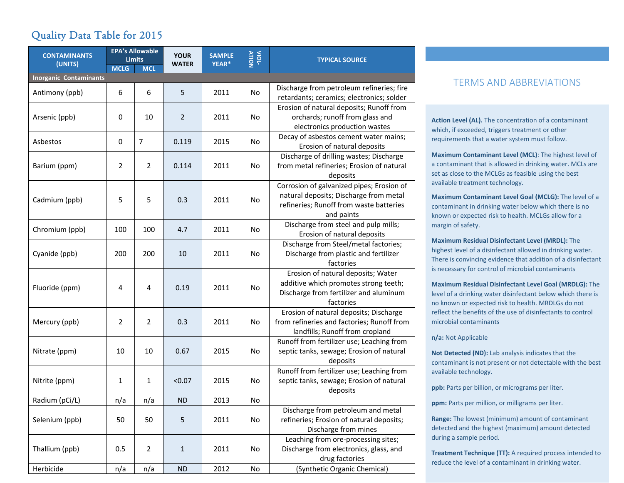# Quality Data Table for 2015

| <b>CONTAMINANTS</b>           | <b>EPA's Allowable</b><br><b>Limits</b> |                | <b>YOUR</b>    | <b>SAMPLE</b> | VIOL-     | <b>TYPICAL SOURCE</b>                                                                                                                        |  |  |
|-------------------------------|-----------------------------------------|----------------|----------------|---------------|-----------|----------------------------------------------------------------------------------------------------------------------------------------------|--|--|
| (UNITS)                       | <b>MCLG</b>                             | <b>MCL</b>     | <b>WATER</b>   | YEAR*         |           |                                                                                                                                              |  |  |
| <b>Inorganic Contaminants</b> |                                         |                |                |               |           |                                                                                                                                              |  |  |
| Antimony (ppb)                | 6                                       | 6              | 5              | 2011          | No        | Discharge from petroleum refineries; fire<br>retardants; ceramics; electronics; solder                                                       |  |  |
| Arsenic (ppb)                 | 0                                       | 10             | $\overline{2}$ | 2011          | No        | Erosion of natural deposits; Runoff from<br>orchards; runoff from glass and<br>electronics production wastes                                 |  |  |
| Asbestos                      | $\pmb{0}$                               | $\overline{7}$ | 0.119          | 2015          | No        | Decay of asbestos cement water mains;<br>Erosion of natural deposits                                                                         |  |  |
| Barium (ppm)                  | $\overline{2}$                          | $\overline{2}$ | 0.114          | 2011          | No        | Discharge of drilling wastes; Discharge<br>from metal refineries; Erosion of natural<br>deposits                                             |  |  |
| Cadmium (ppb)                 | 5                                       | 5              | 0.3            | 2011          | No        | Corrosion of galvanized pipes; Erosion of<br>natural deposits; Discharge from metal<br>refineries; Runoff from waste batteries<br>and paints |  |  |
| Chromium (ppb)                | 100                                     | 100            | 4.7            | 2011          | No        | Discharge from steel and pulp mills;<br>Erosion of natural deposits                                                                          |  |  |
| Cyanide (ppb)                 | 200                                     | 200            | 10             | 2011          | No        | Discharge from Steel/metal factories;<br>Discharge from plastic and fertilizer<br>factories                                                  |  |  |
| Fluoride (ppm)                | 4                                       | $\overline{4}$ | 0.19           | 2011          | <b>No</b> | Erosion of natural deposits; Water<br>additive which promotes strong teeth;<br>Discharge from fertilizer and aluminum<br>factories           |  |  |
| Mercury (ppb)                 | 2                                       | $\overline{2}$ | 0.3            | 2011          | <b>No</b> | Erosion of natural deposits; Discharge<br>from refineries and factories; Runoff from<br>landfills; Runoff from cropland                      |  |  |
| Nitrate (ppm)                 | 10                                      | 10             | 0.67           | 2015          | No        | Runoff from fertilizer use; Leaching from<br>septic tanks, sewage; Erosion of natural<br>deposits                                            |  |  |
| Nitrite (ppm)                 | 1                                       | 1              | < 0.07         | 2015          | No        | Runoff from fertilizer use; Leaching from<br>septic tanks, sewage; Erosion of natural<br>deposits                                            |  |  |
| Radium (pCi/L)                | n/a                                     | n/a            | <b>ND</b>      | 2013          | No        |                                                                                                                                              |  |  |
| Selenium (ppb)                | 50                                      | 50             | 5              | 2011          | No        | Discharge from petroleum and metal<br>refineries; Erosion of natural deposits;<br>Discharge from mines                                       |  |  |
| Thallium (ppb)                | 0.5                                     | $\overline{2}$ | $\mathbf{1}$   | 2011          | No        | Leaching from ore-processing sites;<br>Discharge from electronics, glass, and<br>drug factories                                              |  |  |
| Herbicide                     | n/a                                     | n/a            | <b>ND</b>      | 2012          | No        | (Synthetic Organic Chemical)                                                                                                                 |  |  |

### TERMS AND ABBREVIATIONS

**Action Level (AL).** The concentration of a contaminant which, if exceeded, triggers treatment or other requirements that a water system must follow.

**Maximum Contaminant Level (MCL)**: The highest level of a contaminant that is allowed in drinking water. MCLs are set as close to the MCLGs as feasible using the best available treatment technology.

**Maximum Contaminant Level Goal (MCLG):** The level of a contaminant in drinking water below which there is no known or expected risk to health. MCLGs allow for a margin of safety.

**Maximum Residual Disinfectant Level (MRDL):** The highest level of a disinfectant allowed in drinking water. There is convincing evidence that addition of a disinfectant is necessary for control of microbial contaminants

**Maximum Residual Disinfectant Level Goal (MRDLG):** The level of a drinking water disinfectant below which there is no known or expected risk to health. MRDLGs do not reflect the benefits of the use of disinfectants to control microbial contaminants

**n/a:** Not Applicable

**Not Detected (ND):** Lab analysis indicates that the contaminant is not present or not detectable with the best available technology.

**ppb:** Parts per billion, or micrograms per liter.

**ppm:** Parts per million, or milligrams per liter.

**Range:** The lowest (minimum) amount of contaminant detected and the highest (maximum) amount detected during a sample period.

**Treatment Technique (TT):** A required process intended to reduce the level of a contaminant in drinking water.